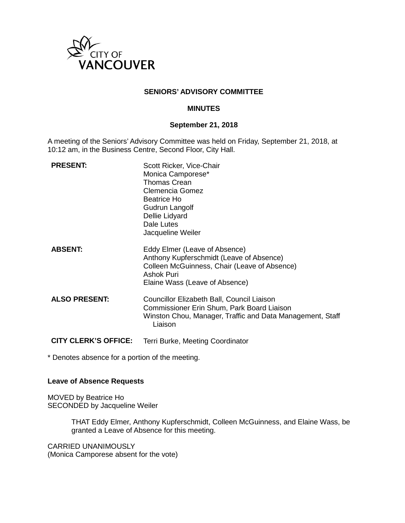

## **SENIORS' ADVISORY COMMITTEE**

#### **MINUTES**

#### **September 21, 2018**

A meeting of the Seniors' Advisory Committee was held on Friday, September 21, 2018, at 10:12 am, in the Business Centre, Second Floor, City Hall.

| <b>PRESENT:</b>             | Scott Ricker, Vice-Chair<br>Monica Camporese*<br><b>Thomas Crean</b><br>Clemencia Gomez<br>Beatrice Ho<br>Gudrun Langolf<br>Dellie Lidyard<br>Dale Lutes<br>Jacqueline Weiler |
|-----------------------------|-------------------------------------------------------------------------------------------------------------------------------------------------------------------------------|
| <b>ABSENT:</b>              | Eddy Elmer (Leave of Absence)<br>Anthony Kupferschmidt (Leave of Absence)<br>Colleen McGuinness, Chair (Leave of Absence)<br>Ashok Puri<br>Elaine Wass (Leave of Absence)     |
| <b>ALSO PRESENT:</b>        | Councillor Elizabeth Ball, Council Liaison<br>Commissioner Erin Shum, Park Board Liaison<br>Winston Chou, Manager, Traffic and Data Management, Staff<br>Liaison              |
| <b>CITY CLERK'S OFFICE:</b> | Terri Burke, Meeting Coordinator                                                                                                                                              |

\* Denotes absence for a portion of the meeting.

#### **Leave of Absence Requests**

MOVED by Beatrice Ho SECONDED by Jacqueline Weiler

> THAT Eddy Elmer, Anthony Kupferschmidt, Colleen McGuinness, and Elaine Wass, be granted a Leave of Absence for this meeting.

CARRIED UNANIMOUSLY (Monica Camporese absent for the vote)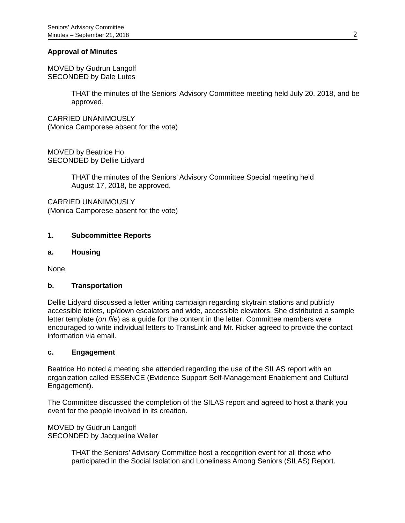## **Approval of Minutes**

MOVED by Gudrun Langolf SECONDED by Dale Lutes

> THAT the minutes of the Seniors' Advisory Committee meeting held July 20, 2018, and be approved.

CARRIED UNANIMOUSLY (Monica Camporese absent for the vote)

MOVED by Beatrice Ho SECONDED by Dellie Lidyard

> THAT the minutes of the Seniors' Advisory Committee Special meeting held August 17, 2018, be approved.

CARRIED UNANIMOUSLY (Monica Camporese absent for the vote)

### **1. Subcommittee Reports**

#### **a. Housing**

None.

#### **b. Transportation**

Dellie Lidyard discussed a letter writing campaign regarding skytrain stations and publicly accessible toilets, up/down escalators and wide, accessible elevators. She distributed a sample letter template (*on file*) as a guide for the content in the letter. Committee members were encouraged to write individual letters to TransLink and Mr. Ricker agreed to provide the contact information via email.

#### **c. Engagement**

Beatrice Ho noted a meeting she attended regarding the use of the SILAS report with an organization called ESSENCE (Evidence Support Self-Management Enablement and Cultural Engagement).

The Committee discussed the completion of the SILAS report and agreed to host a thank you event for the people involved in its creation.

MOVED by Gudrun Langolf SECONDED by Jacqueline Weiler

> THAT the Seniors' Advisory Committee host a recognition event for all those who participated in the Social Isolation and Loneliness Among Seniors (SILAS) Report.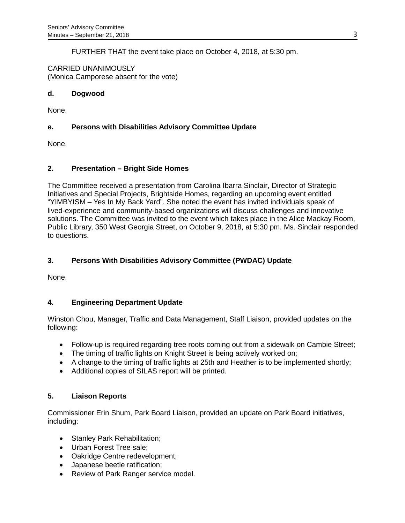FURTHER THAT the event take place on October 4, 2018, at 5:30 pm.

CARRIED UNANIMOUSLY (Monica Camporese absent for the vote)

### **d. Dogwood**

None.

# **e. Persons with Disabilities Advisory Committee Update**

None.

## **2. Presentation – Bright Side Homes**

The Committee received a presentation from Carolina Ibarra Sinclair, Director of Strategic Initiatives and Special Projects, Brightside Homes, regarding an upcoming event entitled "YIMBYISM – Yes In My Back Yard". She noted the event has invited individuals speak of lived-experience and community-based organizations will discuss challenges and innovative solutions. The Committee was invited to the event which takes place in the Alice Mackay Room, Public Library, 350 West Georgia Street, on October 9, 2018, at 5:30 pm. Ms. Sinclair responded to questions.

# **3. Persons With Disabilities Advisory Committee (PWDAC) Update**

None.

## **4. Engineering Department Update**

Winston Chou, Manager, Traffic and Data Management, Staff Liaison, provided updates on the following:

- Follow-up is required regarding tree roots coming out from a sidewalk on Cambie Street;
- The timing of traffic lights on Knight Street is being actively worked on;
- A change to the timing of traffic lights at 25th and Heather is to be implemented shortly;
- Additional copies of SILAS report will be printed.

## **5. Liaison Reports**

Commissioner Erin Shum, Park Board Liaison, provided an update on Park Board initiatives, including:

- Stanley Park Rehabilitation;
- Urban Forest Tree sale;
- Oakridge Centre redevelopment;
- Japanese beetle ratification;
- Review of Park Ranger service model.